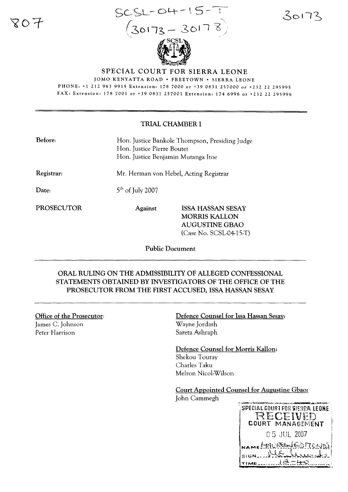80 F

 $SCSL-OH-15-T$  $(30173 - 30178)$ 



SPECIAL COURT FOR SIERRA LEONE

JOMO KENYATTA ROAD· FREETOWN· SIERRA LEONE PHONE: +1 212 963 9915 Extension: 178 7000 or +390831257000 or +232 22 295995 FAX: Extension: 178 7001 or +39 0831 257001 Extension: 174 6996 or +232 22 295996

#### TRIAL CHAMBER I

| Before:    | Hon. Justice Bankole Thompson, Presiding Judge<br>Hon. Justice Pierre Boutet<br>Hon. Justice Benjamin Mutanga Itoe |                                                                                                        |
|------------|--------------------------------------------------------------------------------------------------------------------|--------------------------------------------------------------------------------------------------------|
| Registrar: | Mr. Herman von Hebel, Acting Registrar                                                                             |                                                                                                        |
| Date:      | $5th$ of July 2007                                                                                                 |                                                                                                        |
| PROSECUTOR | <b>Against</b>                                                                                                     | <b>ISSA HASSAN SESAY</b><br><b>MORRIS KALLON</b><br><b>AUGUSTINE GBAO</b><br>$(Case No. SCSL-04-15-T)$ |

Public Document

## ORAL RULING ON THE ADMISSIBILITY OF ALLEGED CONFESSIONAL STATEMENTS OBTAINED BY INVESTIGATORS OF THE OFFICE OF THE PROSECUTOR FROM THE FIRST ACCUSED, ISSA HASSAN SESAY

#### Office of the Prosecutor:

James C. Johnson Peter Harrison

Defence Counsel for Issa Hassan Sesay: Wayne Jordash Sareta Ashraph

Defence Counsel for Morris Kallon: Shekou Touray Charles Taku Melron Nicol-Wilson

Court Appointed Counsel for Augustine Gbao:

John Cammegh

SPECIAL COURT FOR SIERRA LEONE RECEIVED COURT MANAGEMENT 05 JUL 2007 NAME HAURENED TONDS SIGN\_....~~~~~~~)~! TIME.........1<del>2 = 40</del>

30173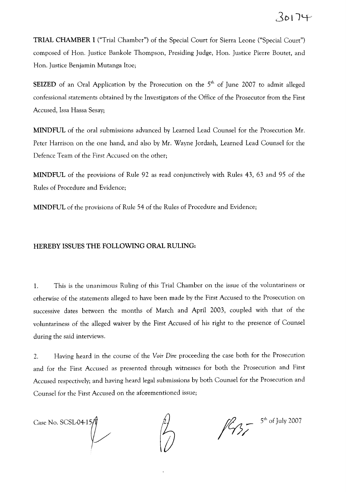**TRIAL CHAMBER I** ("Trial Chamber") of the Special Court for Sierra Leone ("Special Court") composed of Hon. Justice Bankole Thompson, Presiding Judge, Hon. Justice Pierre Boutet, and Hon. Justice Benjamin Mutanga ltoe;

**SEIZED** of an Oral Application by the Prosecution on the 5<sup>th</sup> of June 2007 to admit alleged confessional statements obtained by the Investigators of the Office of the Prosecutor from the First Accused, Issa Hassa Sesay;

**MINDFUL** of the oral submissions advanced by Learned Lead Counsel for the Prosecution Mr. Peter Harrison on the one hand, and also by Mr. Wayne Jordash, Learned Lead Counsel for the Defence Team of the First Accused on the other;

**MINDFUL** of the provisions of Rule 92 as read conjunctively with Rules 43, 63 and 95 of the Rules of Procedure and Evidence;

**MINDFUL** of the provisions of Rule 54 of the Rules of Procedure and Evidence;

#### **HEREBY** ISSUES **THE FOLLOWING ORAL RULING:**

1. This is the unanimous Ruling of this Trial Chamber on the issue of the voluntariness or otherwise of the statements alleged to have been made by the First Accused to the Prosecution on successive dates between the months of March and April 2003, coupled with that of the voluntariness of the alleged waiver by the First Accused of his right to the presence of Counsel during the said interviews.

2. Having heard in the course of the *Voir Dire* proceeding the case both for the Prosecution and for the First Accused as presented through witnesses for both the Prosecution and First Accused respectively; and having heard legal submissions by both Counsel for the Prosecution and Counsel for the First Accused on the aforementioned issue;

Case No. SCSL-04-1  $\sqrt{ }$ 

 $\frac{1}{2}$   $\frac{5^{th} \text{ of July 2007}}{5}$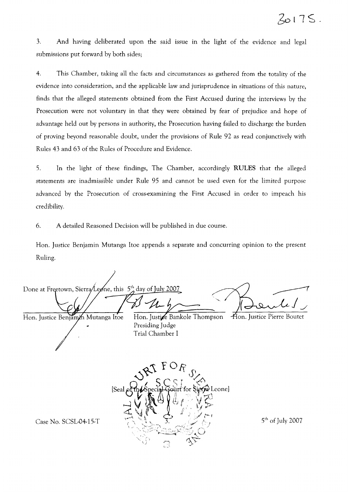3. And having deliberated upon the said issue in the light of the evidence and legal submissions put forward by both sides;

4. This Chamber, taking all the facts and circumstances as gathered from the totality of the evidence into consideration, and the applicable law and jurisprudence in situations of this nature, finds that the alleged statements obtained from the First Accused during the interviews by the Prosecution were not voluntary in that they were obtained by fear of prejudice and hope of advantage held out by persons in authority, the Prosecution having failed to discharge the burden of proving beyond reasonable doubt, under the provisions of Rule 92 as read conjunctively with Rules 43 and 63 of the Rules of Procedure and Evidence.

5. In the light of these findings, The Chamber, accordingly RULES that the alleged statements are inadmissible under Rule 95 and cannot be used even for the limited purpose advanced by the Prosecution of cross-examining the First Accused in order to impeach his credibility.

6. A detailed Reasoned Decision will be published in due course.

Hon. Justice Benjamin Mutanga ltoe appends a separate and concurring opinion to the present Ruling.

Done at Freetown, Sierra Leone, this  $5^{\text{th}}$  day of July 2007 ...... Hon. Justice Pierre Boutet Hon. Justice Benjamin Mutanga Itoe Hon. Justice Bankole Thompson Presiding Judge

Trial Chamber I

Leone] Case No. SCSL-04-15-T  $\left( \begin{array}{ccc} 1 & 1 \end{array} \right)$   $\left( \begin{array}{ccc} 2 & 3 \end{array} \right)$ 

Œ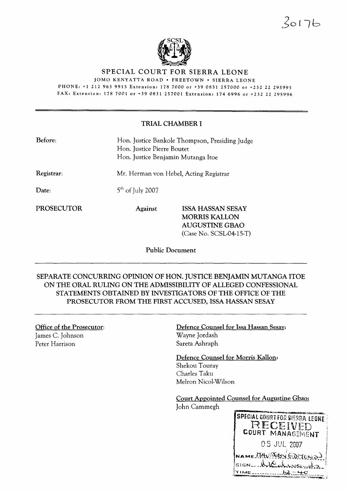$30176$ 



SPECIAL COURT FOR SIERRA LEONE

JOMO KENYATTA ROAD· FREETOWN· SIERRA LEONE

PHONE: +1 212 963 9915 Extension: 178 7000 or +39 0831 257000 or +232 22 295995 FAX: Extension: 178 7001 or +390831257001 Extension: 1746996 or +232 22 295996

### TRIAL CHAMBER I

| Before:           |                    | Hon. Justice Bankole Thompson, Presiding Judge<br>Hon. Justice Pierre Boutet<br>Hon. Justice Benjamin Mutanga Itoe |  |
|-------------------|--------------------|--------------------------------------------------------------------------------------------------------------------|--|
| Registrar:        |                    | Mr. Herman von Hebel, Acting Registrar                                                                             |  |
| Date:             | $5th$ of July 2007 |                                                                                                                    |  |
| <b>PROSECUTOR</b> | <b>Against</b>     | <b>ISSA HASSAN SESAY</b><br><b>MORRIS KALLON</b><br><b>AUGUSTINE GBAO</b><br>$(Case No. SCSL-04-15-T)$             |  |

Public Document

SEPARATE CONCURRING OPINION OF HON. JUSTICE BENJAMIN MUTANGA ITOE ON THE ORAL RULING ON THE ADMISSIBILITY OF ALLEGED CONFESSIONAL STATEMENTS OBTAINED BY INVESTIGATORS OF THE OFFICE OF THE PROSECUTOR FROM THE FIRST ACCUSED, ISSA HASSAN SESAY

Office of the Prosecutor: James C. Johnson Peter Harrison

Defence Counsel for Issa Hassan Sesay: Wayne Jordash Sareta Ashraph

Defence Counsel for Morris KaHon: Shekou Touray Charles Taku Melron Nicol-Wilson

Court Appointed Counsel for Augustine Gbao:

John Cammegh

SPECIAL COURT FOR SIERRA LEONE RECEIVED COURT MANAGEMENT 05 JUL 2007 NAME MAVRESS EDITONS  $s$ IGN  $\ldots$ KKE  $+$  $\circ$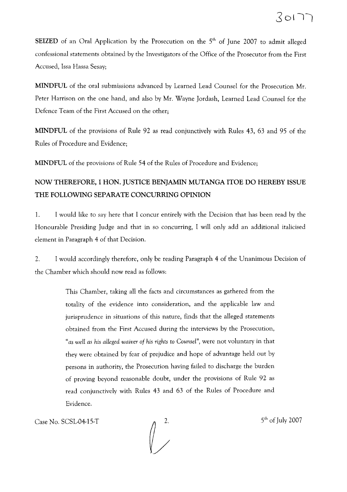**SEIZED** of an Oral Application by the Prosecution on the 5<sup>th</sup> of June 2007 to admit alleged confessional statements obtained by the Investigators of the Office of the Prosecutor from the First Accused, Issa Hassa Sesay;

**MINDFUL** of the oral submissions advanced by Learned Lead Counsel for the Prosecution Mr. Peter Harrison on the one hand, and also by Mr. Wayne Jordash, Learned Lead Counsel for the Defence Team of the First Accused on the other;

**MINDFUL** of the provisions of Rule 92 as read conjunctively with Rules 43, 63 and 95 of the Rules of Procedure and Evidence;

**MINDFUL** of the provisions of Rule 54 of the Rules of Procedure and Evidence;

# **NOW THEREFORE, 1 HON. JUSTICE BENJAMIN MUTANGA ITOE DO HEREBY ISSUE THE FOLLOWING SEPARATE CONCURRING OPINION**

1. I would like to say here that I concur entirely with the Decision that has been read by the Honourable Presiding Judge and that in so concurring, I will only add an additional italicised element in Paragraph 4 of that Decision.

2. I would accordingly therefore, only be reading Paragraph 4 of the Unanimous Decision of the Chamber which should now read as follows:

> This Chamber, taking all the facts and circumstances as gathered from the totality of the evidence into consideration, and the applicable law and jurisprudence in situations of this nature, finds that the alleged statements obtained from the First Accused during the interviews by the Prosecution, *"as wen as his aUeged waiver of his rights* to *Counsel",* were not voluntary in that they were obtained by fear of prejudice and hope of advantage held out by persons in authority, the Prosecution having failed to discharge the burden of proving beyond reasonable doubt, under the provisions of Rule 92 as read conjunctively with Rules 43 and 63 of the Rules of Procedure and Evidence.

Case No. SCSL-04-15-T  $\alpha$  2. 5<sup>th</sup> of July 2007